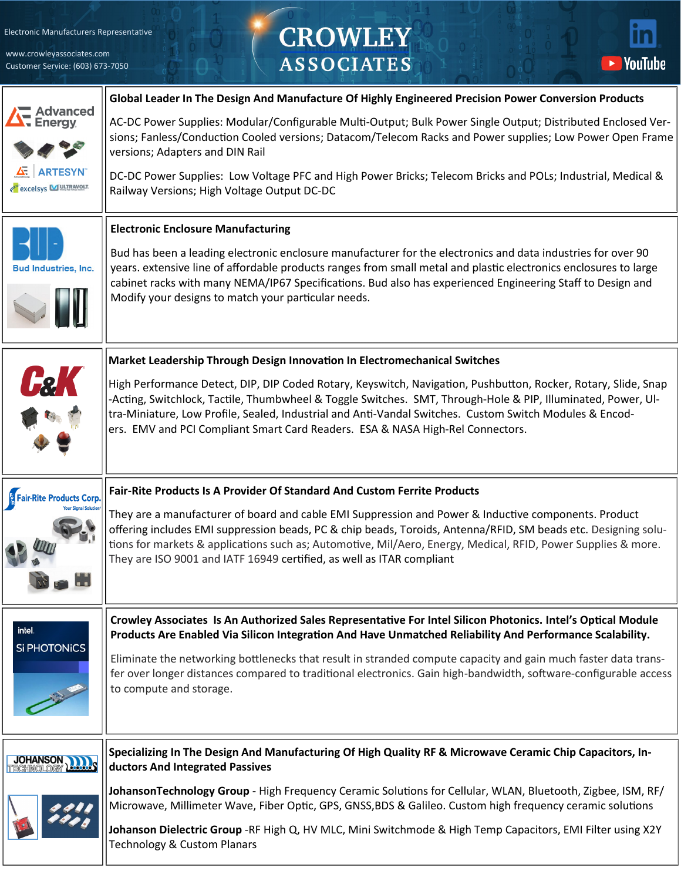[Electronic Manufacturers Representative](http://www.crowleyassociates.com/)

www.crowleyassociates.com Customer Service: (603) 673-7050

## CROWLEY<br>ASSOCIATES



|                                        | Global Leader In The Design And Manufacture Of Highly Engineered Precision Power Conversion Products                                                                                                                                                                                                                                                                                                                        |
|----------------------------------------|-----------------------------------------------------------------------------------------------------------------------------------------------------------------------------------------------------------------------------------------------------------------------------------------------------------------------------------------------------------------------------------------------------------------------------|
| <b>Advanced</b><br>Energy              | AC-DC Power Supplies: Modular/Configurable Multi-Output; Bulk Power Single Output; Distributed Enclosed Ver-<br>sions; Fanless/Conduction Cooled versions; Datacom/Telecom Racks and Power supplies; Low Power Open Frame<br>versions; Adapters and DIN Rail                                                                                                                                                                |
| <b>ARTESYN</b><br>excelsys MULTRAVOLT. | DC-DC Power Supplies: Low Voltage PFC and High Power Bricks; Telecom Bricks and POLs; Industrial, Medical &<br>Railway Versions; High Voltage Output DC-DC                                                                                                                                                                                                                                                                  |
|                                        | <b>Electronic Enclosure Manufacturing</b>                                                                                                                                                                                                                                                                                                                                                                                   |
| <b>Bud Industries, Inc.</b>            | Bud has been a leading electronic enclosure manufacturer for the electronics and data industries for over 90<br>years. extensive line of affordable products ranges from small metal and plastic electronics enclosures to large<br>cabinet racks with many NEMA/IP67 Specifications. Bud also has experienced Engineering Staff to Design and<br>Modify your designs to match your particular needs.                       |
|                                        | Market Leadership Through Design Innovation In Electromechanical Switches                                                                                                                                                                                                                                                                                                                                                   |
|                                        | High Performance Detect, DIP, DIP Coded Rotary, Keyswitch, Navigation, Pushbutton, Rocker, Rotary, Slide, Snap<br>-Acting, Switchlock, Tactile, Thumbwheel & Toggle Switches. SMT, Through-Hole & PIP, Illuminated, Power, Ul-<br>tra-Miniature, Low Profile, Sealed, Industrial and Anti-Vandal Switches. Custom Switch Modules & Encod-<br>ers. EMV and PCI Compliant Smart Card Readers. ESA & NASA High-Rel Connectors. |
| <b>Fair-Rite Products Corp.</b>        | Fair-Rite Products Is A Provider Of Standard And Custom Ferrite Products                                                                                                                                                                                                                                                                                                                                                    |
|                                        | They are a manufacturer of board and cable EMI Suppression and Power & Inductive components. Product<br>offering includes EMI suppression beads, PC & chip beads, Toroids, Antenna/RFID, SM beads etc. Designing solu-<br>tions for markets & applications such as; Automotive, Mil/Aero, Energy, Medical, RFID, Power Supplies & more.<br>They are ISO 9001 and IATF 16949 certified, as well as ITAR compliant            |
| intel.                                 | Crowley Associates Is An Authorized Sales Representative For Intel Silicon Photonics. Intel's Optical Module<br>Products Are Enabled Via Silicon Integration And Have Unmatched Reliability And Performance Scalability.                                                                                                                                                                                                    |
| <b>Si PHOTONICS</b>                    | Eliminate the networking bottlenecks that result in stranded compute capacity and gain much faster data trans-<br>fer over longer distances compared to traditional electronics. Gain high-bandwidth, software-configurable access<br>to compute and storage.                                                                                                                                                               |
| <b>OHANSON</b>                         | Specializing In The Design And Manufacturing Of High Quality RF & Microwave Ceramic Chip Capacitors, In-<br>ductors And Integrated Passives                                                                                                                                                                                                                                                                                 |
|                                        | JohansonTechnology Group - High Frequency Ceramic Solutions for Cellular, WLAN, Bluetooth, Zigbee, ISM, RF/                                                                                                                                                                                                                                                                                                                 |
|                                        | Microwave, Millimeter Wave, Fiber Optic, GPS, GNSS, BDS & Galileo. Custom high frequency ceramic solutions                                                                                                                                                                                                                                                                                                                  |
|                                        | Johanson Dielectric Group -RF High Q, HV MLC, Mini Switchmode & High Temp Capacitors, EMI Filter using X2Y<br><b>Technology &amp; Custom Planars</b>                                                                                                                                                                                                                                                                        |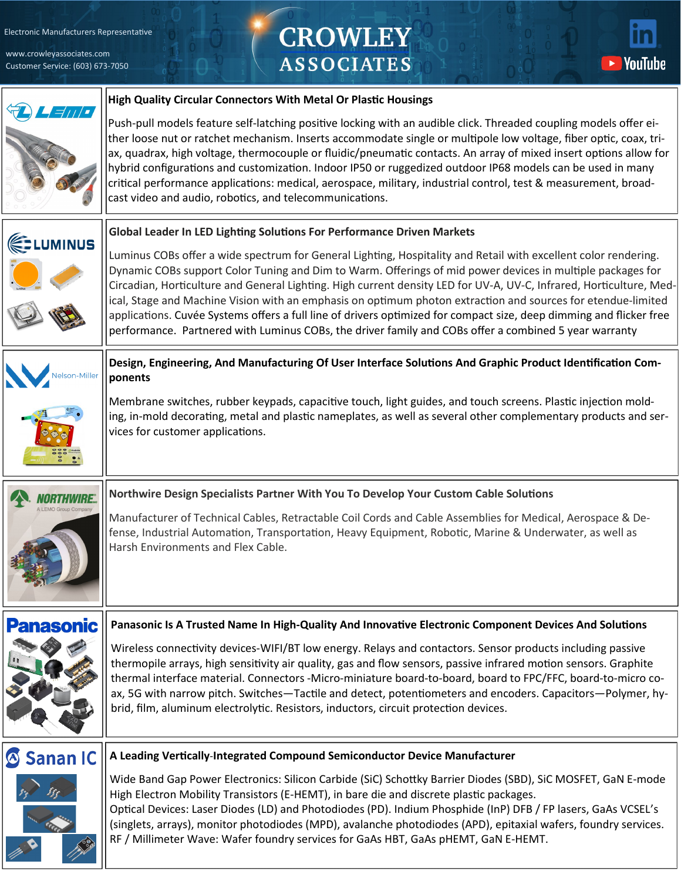[Electronic Manufacturers Representative](http://www.crowleyassociates.com/)

www.crowleyassociates.com Customer Service: (603) 673-7050

## **CROWLEY ASSOCIATES**